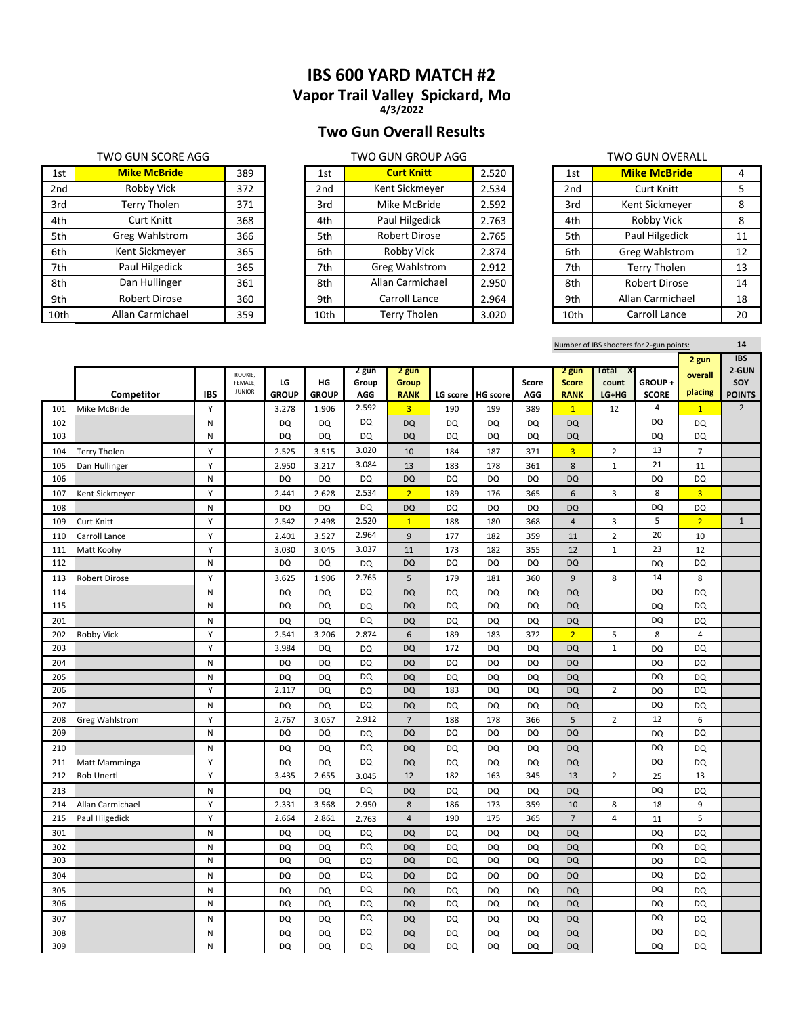**Vapor Trail Valley Spickard, Mo 4/3/2022**

## **Two Gun Overall Results**

### TWO GUN SCORE AGG TWO GUN GROUP AGG TWO GUN OVERALL

|      | <b>WU GUIN SLUNE AGG</b> |     |      | i wu gun gruur Agg    |       |                 | I WU GUN UVERALL     |    |
|------|--------------------------|-----|------|-----------------------|-------|-----------------|----------------------|----|
| 1st  | <b>Mike McBride</b>      | 389 | 1st  | <b>Curt Knitt</b>     | 2.520 | 1st             | <b>Mike McBride</b>  | 4  |
| 2nd  | Robby Vick               | 372 | 2nd  | Kent Sickmeyer        | 2.534 | 2 <sub>nd</sub> | <b>Curt Knitt</b>    | 5  |
| 3rd  | Terry Tholen             | 371 | 3rd  | Mike McBride          | 2.592 | 3rd             | Kent Sickmeyer       | 8  |
| 4th  | <b>Curt Knitt</b>        | 368 | 4th  | Paul Hilgedick        | 2.763 | 4th             | Robby Vick           | 8  |
| 5th  | <b>Greg Wahlstrom</b>    | 366 | 5th  | Robert Dirose         | 2.765 | 5th             | Paul Hilgedick       | 11 |
| 6th  | Kent Sickmeyer           | 365 | 6th  | Robby Vick            | 2.874 | 6th             | Greg Wahlstrom       | 12 |
| 7th  | Paul Hilgedick           | 365 | 7th  | <b>Greg Wahlstrom</b> | 2.912 | 7th             | <b>Terry Tholen</b>  | 13 |
| 8th  | Dan Hullinger            | 361 | 8th  | Allan Carmichael      | 2.950 | 8th             | <b>Robert Dirose</b> | 14 |
| 9th  | <b>Robert Dirose</b>     | 360 | 9th  | Carroll Lance         | 2.964 | 9th             | Allan Carmichael     | 18 |
| 10th | Allan Carmichael         | 359 | 10th | <b>Terry Tholen</b>   | 3.020 | 10th            | Carroll Lance        | 20 |

| 1st  | <b>Mike McBride</b>   | 389 | 1st  | <b>Curt Knitt</b>     | 2.520 | 1st             | <b>Mike McBride</b>  | 4  |
|------|-----------------------|-----|------|-----------------------|-------|-----------------|----------------------|----|
| 2nd  | Robby Vick            | 372 | 2nd  | Kent Sickmeyer        | 2.534 | 2 <sub>nd</sub> | <b>Curt Knitt</b>    | 5  |
| 3rd  | Terry Tholen          | 371 | 3rd  | Mike McBride          | 2.592 | 3rd             | Kent Sickmeyer       | 8  |
| 4th  | <b>Curt Knitt</b>     | 368 | 4th  | Paul Hilgedick        | 2.763 | 4th             | Robby Vick           | 8  |
| 5th  | <b>Greg Wahlstrom</b> | 366 | 5th  | <b>Robert Dirose</b>  | 2.765 | 5th             | Paul Hilgedick       | 11 |
| 6th  | Kent Sickmeyer        | 365 | 6th  | Robby Vick            | 2.874 | 6th             | Greg Wahlstrom       | 12 |
| 7th  | Paul Hilgedick        | 365 | 7th  | <b>Greg Wahlstrom</b> | 2.912 | 7th             | <b>Terry Tholen</b>  | 13 |
| 8th  | Dan Hullinger         | 361 | 8th  | Allan Carmichael      | 2.950 | 8th             | <b>Robert Dirose</b> | 14 |
| 9th  | <b>Robert Dirose</b>  | 360 | 9th  | Carroll Lance         | 2.964 | 9th             | Allan Carmichael     | 18 |
| LOth | Allan Carmichael      | 359 | 10th | Terry Tholen          | 3.020 | 10th            | Carroll Lance        | 20 |

|                 | , o gon o , civic     |    |  |  |  |  |  |  |
|-----------------|-----------------------|----|--|--|--|--|--|--|
| 1st             | <b>Mike McBride</b>   | 4  |  |  |  |  |  |  |
| 2 <sub>nd</sub> | Curt Knitt            | 5  |  |  |  |  |  |  |
| 3rd             | Kent Sickmeyer        | 8  |  |  |  |  |  |  |
| 4th             | Robby Vick            | 8  |  |  |  |  |  |  |
| 5th             | Paul Hilgedick        | 11 |  |  |  |  |  |  |
| 6th             | <b>Greg Wahlstrom</b> | 12 |  |  |  |  |  |  |
| 7th             | <b>Terry Tholen</b>   | 13 |  |  |  |  |  |  |
| 8th             | <b>Robert Dirose</b>  | 14 |  |  |  |  |  |  |
| 9th             | Allan Carmichael      | 18 |  |  |  |  |  |  |
| 10th            | Carroll Lance         | 20 |  |  |  |  |  |  |

Number of IBS shooters for 2-gun points: **14**

|     |                       |            |                          |                    |                    |              |                             |           |                 |              |                             |                |                        | 2 gun          | <b>IBS</b>           |
|-----|-----------------------|------------|--------------------------|--------------------|--------------------|--------------|-----------------------------|-----------|-----------------|--------------|-----------------------------|----------------|------------------------|----------------|----------------------|
|     |                       |            | ROOKIE,                  |                    |                    | 2 gun        | 2 gun                       |           |                 |              | 2 gun                       | Total<br>х.    |                        | overall        | 2-GUN                |
|     | Competitor            | <b>IBS</b> | FEMALE,<br><b>JUNIOR</b> | LG<br><b>GROUP</b> | ΗG<br><b>GROUP</b> | Group<br>AGG | <b>Group</b><br><b>RANK</b> | LG score  | <b>HG</b> score | Score<br>AGG | <b>Score</b><br><b>RANK</b> | count<br>LG+HG | GROUP+<br><b>SCORE</b> | placing        | SOY<br><b>POINTS</b> |
| 101 | Mike McBride          | Y          |                          | 3.278              | 1.906              | 2.592        | $\overline{3}$              | 190       | 199             | 389          | $\overline{1}$              | 12             | $\overline{4}$         | $\mathbf{1}$   | $\overline{2}$       |
| 102 |                       | N          |                          | <b>DQ</b>          | DQ                 | DQ           | DQ                          | DQ        | DQ              | DQ           | <b>DQ</b>                   |                | DQ                     | DQ             |                      |
| 103 |                       | N          |                          | DQ                 | DQ                 | DQ           | <b>DQ</b>                   | DQ        | DQ              | <b>DQ</b>    | <b>DQ</b>                   |                | DQ                     | DQ             |                      |
| 104 | Terry Tholen          | Y          |                          | 2.525              | 3.515              | 3.020        | 10                          | 184       | 187             | 371          | $\overline{3}$              | $\overline{2}$ | 13                     | $\overline{7}$ |                      |
| 105 | Dan Hullinger         | Y          |                          | 2.950              | 3.217              | 3.084        | 13                          | 183       | 178             | 361          | 8                           | $1\,$          | 21                     | 11             |                      |
| 106 |                       | N          |                          | DQ                 | DQ                 | <b>DQ</b>    | DQ                          | DQ        | DQ              | DQ           | <b>DQ</b>                   |                | DQ                     | DQ             |                      |
| 107 | Kent Sickmeyer        | Y          |                          | 2.441              | 2.628              | 2.534        | $\overline{2}$              | 189       | 176             | 365          | 6                           | 3              | 8                      | $\overline{3}$ |                      |
| 108 |                       | N          |                          | DQ                 | DQ                 | <b>DQ</b>    | <b>DQ</b>                   | DQ        | DQ              | DQ           | <b>DQ</b>                   |                | DQ                     | DQ             |                      |
| 109 | <b>Curt Knitt</b>     | Y          |                          | 2.542              | 2.498              | 2.520        | $\mathbf{1}$                | 188       | 180             | 368          | $\overline{4}$              | 3              | 5                      | 2 <sup>1</sup> | $\mathbf{1}$         |
| 110 | Carroll Lance         | Y          |                          | 2.401              | 3.527              | 2.964        | 9                           | 177       | 182             | 359          | 11                          | 2              | 20                     | 10             |                      |
| 111 | Matt Koohy            | Y          |                          | 3.030              | 3.045              | 3.037        | 11                          | 173       | 182             | 355          | 12                          | 1              | 23                     | 12             |                      |
| 112 |                       | N          |                          | <b>DQ</b>          | DQ                 | DQ           | <b>DQ</b>                   | DQ        | DQ              | <b>DQ</b>    | <b>DQ</b>                   |                | DQ                     | DQ             |                      |
| 113 | <b>Robert Dirose</b>  | Υ          |                          | 3.625              | 1.906              | 2.765        | 5                           | 179       | 181             | 360          | 9                           | 8              | 14                     | 8              |                      |
| 114 |                       | N          |                          | DQ                 | DQ                 | DQ           | <b>DQ</b>                   | DQ        | DQ              | DQ           | <b>DQ</b>                   |                | DQ                     | DQ             |                      |
| 115 |                       | N          |                          | DQ                 | DQ                 | DQ           | DQ                          | DQ        | DQ              | DQ           | <b>DQ</b>                   |                | DQ                     | DQ             |                      |
| 201 |                       | N          |                          | DQ                 | DQ                 | DQ           | <b>DQ</b>                   | DQ        | DQ              | DQ           | <b>DQ</b>                   |                | DQ                     | DQ             |                      |
| 202 | Robby Vick            | Υ          |                          | 2.541              | 3.206              | 2.874        | 6                           | 189       | 183             | 372          | $\overline{2}$              | 5              | 8                      | $\overline{4}$ |                      |
| 203 |                       | Y          |                          | 3.984              | DQ                 | DQ           | <b>DQ</b>                   | 172       | DQ              | DQ           | <b>DQ</b>                   | $\mathbf 1$    | DQ                     | DQ             |                      |
| 204 |                       | N          |                          | <b>DQ</b>          | <b>DQ</b>          | DQ           | <b>DQ</b>                   | <b>DQ</b> | <b>DQ</b>       | <b>DQ</b>    | <b>DQ</b>                   |                | DQ                     | DQ             |                      |
| 205 |                       | N          |                          | DQ                 | DQ                 | DQ           | DQ                          | DQ        | DQ              | DQ           | DQ                          |                | DQ                     | DQ             |                      |
| 206 |                       | Y          |                          | 2.117              | DQ                 | DQ           | <b>DQ</b>                   | 183       | DQ              | <b>DQ</b>    | <b>DQ</b>                   | $\overline{2}$ | DQ                     | DQ             |                      |
| 207 |                       | N          |                          | DQ                 | DQ                 | DQ           | DQ                          | DQ        | DQ              | DQ           | <b>DQ</b>                   |                | <b>DQ</b>              | <b>DQ</b>      |                      |
| 208 | <b>Greg Wahlstrom</b> | Y          |                          | 2.767              | 3.057              | 2.912        | $\overline{7}$              | 188       | 178             | 366          | 5                           | $\overline{2}$ | 12                     | 6              |                      |
| 209 |                       | N          |                          | DQ                 | DQ                 | DQ           | <b>DQ</b>                   | DQ        | DQ              | DQ           | <b>DQ</b>                   |                | DQ                     | <b>DQ</b>      |                      |
| 210 |                       | N          |                          | DQ                 | DQ                 | DQ           | <b>DQ</b>                   | DQ        | DQ              | DQ           | <b>DQ</b>                   |                | DQ                     | <b>DQ</b>      |                      |
| 211 | Matt Mamminga         | Y          |                          | DQ                 | DQ                 | <b>DQ</b>    | DQ                          | DQ        | DQ              | DQ           | <b>DQ</b>                   |                | DQ                     | <b>DQ</b>      |                      |
| 212 | <b>Rob Unertl</b>     | Y          |                          | 3.435              | 2.655              | 3.045        | 12                          | 182       | 163             | 345          | 13                          | $\overline{2}$ | 25                     | 13             |                      |
| 213 |                       | N          |                          | <b>DQ</b>          | DQ                 | <b>DQ</b>    | <b>DQ</b>                   | <b>DQ</b> | <b>DQ</b>       | DQ           | <b>DQ</b>                   |                | DQ                     | DQ             |                      |
| 214 | Allan Carmichael      | Y          |                          | 2.331              | 3.568              | 2.950        | 8                           | 186       | 173             | 359          | 10                          | 8              | 18                     | 9              |                      |
| 215 | Paul Hilgedick        | Υ          |                          | 2.664              | 2.861              | 2.763        | $\sqrt{4}$                  | 190       | 175             | 365          | $\overline{7}$              | 4              | 11                     | 5              |                      |
| 301 |                       | N          |                          | DQ                 | DQ                 | DQ           | <b>DQ</b>                   | DQ        | DQ              | DQ           | <b>DQ</b>                   |                | DQ                     | <b>DQ</b>      |                      |
| 302 |                       | N          |                          | DQ                 | DQ                 | DQ           | <b>DQ</b>                   | DQ        | DQ              | DQ           | <b>DQ</b>                   |                | DQ                     | <b>DQ</b>      |                      |
| 303 |                       | N          |                          | DQ                 | DQ                 | DQ           | <b>DQ</b>                   | DQ        | DQ              | DQ           | <b>DQ</b>                   |                | DQ                     | <b>DQ</b>      |                      |
| 304 |                       | N          |                          | DQ                 | DQ                 | DQ           | <b>DQ</b>                   | DQ        | DQ              | DQ           | <b>DQ</b>                   |                | DQ                     | DQ             |                      |
| 305 |                       | N          |                          | DQ                 | DQ                 | <b>DQ</b>    | DQ                          | DQ        | DQ              | DQ           | DQ                          |                | DQ                     | DQ             |                      |
| 306 |                       | N          |                          | DQ                 | DQ                 | DQ           | <b>DQ</b>                   | <b>DQ</b> | DQ              | DQ           | DQ                          |                | DQ                     | DQ             |                      |
| 307 |                       | N          |                          | DQ                 | DQ                 | DQ           | DQ                          | DQ        | DQ              | DQ           | DQ                          |                | DQ                     | DQ             |                      |
| 308 |                       | N          |                          | DQ                 | DQ                 | DQ           | DQ                          | DQ        | DQ              | DQ           | <b>DQ</b>                   |                | DQ                     | DQ             |                      |
| 309 |                       | Ν          |                          | DQ                 | DQ                 | DQ           | <b>DQ</b>                   | DQ        | DQ              | DQ           | <b>DQ</b>                   |                | DQ                     | DQ             |                      |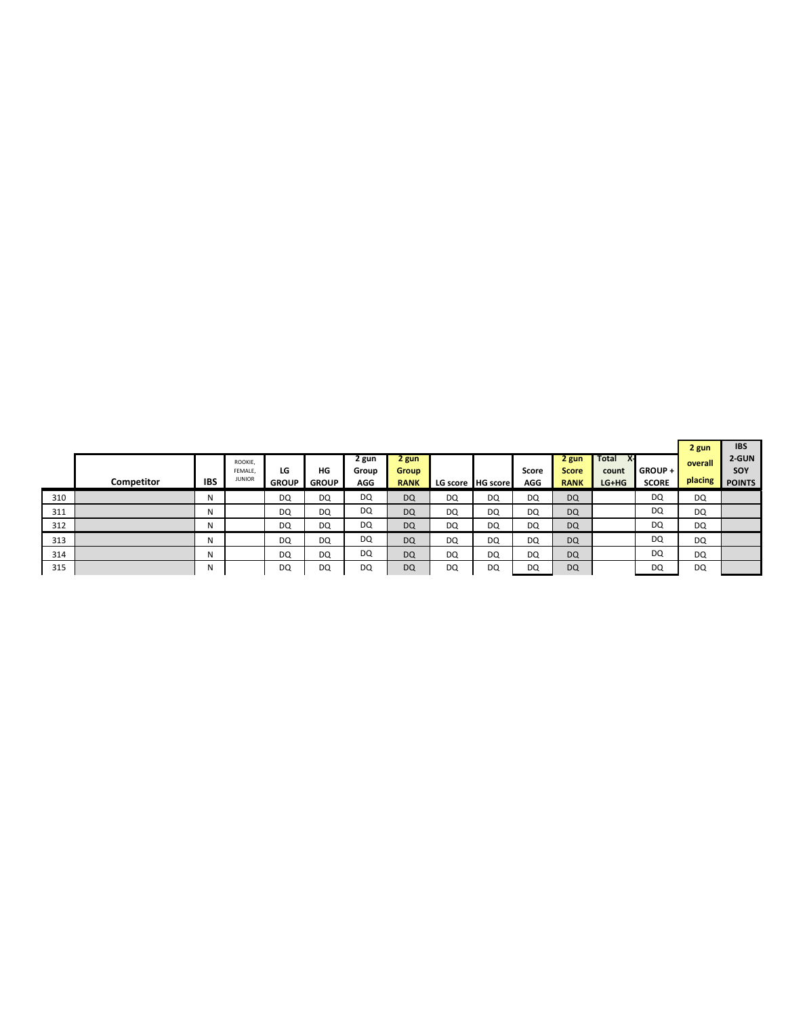|     | <b>Competitor</b> | <b>IBS</b> | ROOKIE,<br>FEMALE.<br><b>JUNIOR</b> | LG<br><b>GROUP</b> | HG<br><b>GROUP</b> | 2 gun<br>Group<br>AGG | 2 gun<br><b>Group</b><br><b>RANK</b> |    | LG score HG score | Score<br>AGG | 2 gun<br><b>Score</b><br><b>RANK</b> | Total<br>count<br>LG+HG | <b>GROUP +</b><br><b>SCORE</b> | 2 gun<br>overall<br>placing | <b>IBS</b><br>2-GUN<br>SOY<br><b>POINTS</b> |
|-----|-------------------|------------|-------------------------------------|--------------------|--------------------|-----------------------|--------------------------------------|----|-------------------|--------------|--------------------------------------|-------------------------|--------------------------------|-----------------------------|---------------------------------------------|
| 310 |                   | N          |                                     | DQ                 | DQ                 | DQ                    | DQ                                   | DQ | DQ                | DQ           | <b>DQ</b>                            |                         | DQ                             | <b>DQ</b>                   |                                             |
| 311 |                   | N          |                                     | DQ                 | DQ                 | DQ                    | DQ                                   | DQ | DQ                | DQ           | <b>DQ</b>                            |                         | DQ                             | <b>DQ</b>                   |                                             |
| 312 |                   | N          |                                     | DQ                 | DQ                 | DQ                    | <b>DQ</b>                            | DQ | DQ                | DQ           | <b>DQ</b>                            |                         | DQ                             | <b>DQ</b>                   |                                             |
| 313 |                   | N          |                                     | DQ                 | DQ                 | DQ                    | DQ                                   | DQ | DQ                | DQ           | <b>DQ</b>                            |                         | DQ                             | DQ                          |                                             |
| 314 |                   | N          |                                     | DQ                 | <b>DQ</b>          | DQ                    | DQ                                   | DQ | DQ                | <b>DQ</b>    | <b>DQ</b>                            |                         | DQ                             | <b>DQ</b>                   |                                             |
| 315 |                   | N          |                                     | DQ                 | DQ                 | DQ                    | DQ                                   | DQ | DQ                | DQ           | <b>DQ</b>                            |                         | DQ                             | <b>DQ</b>                   |                                             |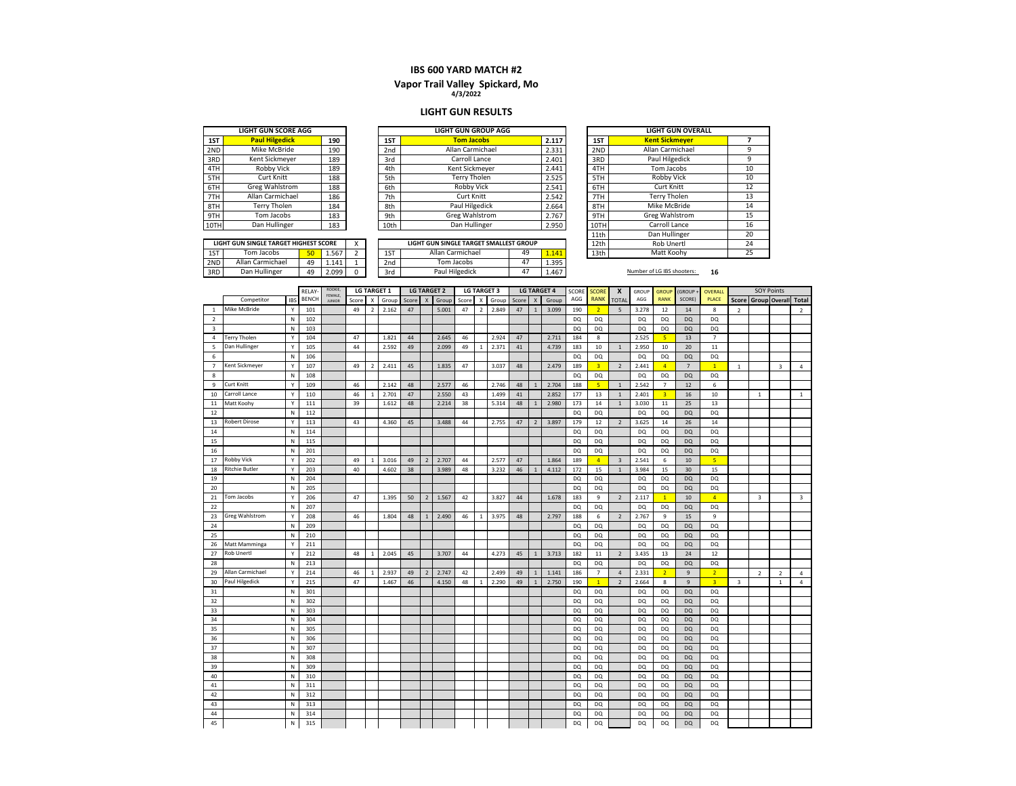# **4/3/2022 Vapor Trail Valley Spickard, Mo**

#### **LIGHT GUN RESULTS**

|     | <b>LIGHT GUN SCORE AGG</b> |     |  |  |  |  |  |  |
|-----|----------------------------|-----|--|--|--|--|--|--|
| 1ST | <b>Paul Hilgedick</b>      | 190 |  |  |  |  |  |  |
| 2ND | Mike McBride               | 190 |  |  |  |  |  |  |
| 3RD | Kent Sickmeyer             | 189 |  |  |  |  |  |  |
| 4TH | Robby Vick                 | 189 |  |  |  |  |  |  |
| 5TH | Curt Knitt                 | 188 |  |  |  |  |  |  |
| 6TH | <b>Greg Wahlstrom</b>      | 188 |  |  |  |  |  |  |
| 7TH | Allan Carmichael           | 186 |  |  |  |  |  |  |
| 8TH | <b>Terry Tholen</b>        | 184 |  |  |  |  |  |  |
| 9TH | Tom Jacobs                 | 183 |  |  |  |  |  |  |
|     | Dan Hullinger              | 183 |  |  |  |  |  |  |

|      | <b>LIGHT GUN SCORE AGG</b> |     |      | <b>LIGHT GUN GROUP AGG</b> |       |          | <b>LIGHT GUN OVERALL</b> |
|------|----------------------------|-----|------|----------------------------|-------|----------|--------------------------|
| 1ST  | <b>Paul Hilgedick</b>      | 190 | 1ST  | <b>Tom Jacobs</b>          | 2.117 | 1ST      | <b>Kent Sickmeyer</b>    |
| 2ND  | Mike McBride               | 190 | 2nd  | Allan Carmichael           | 2.331 | 2ND      | Allan Carmichael         |
| 3RD  | Kent Sickmeyer             | 189 | 3rd  | Carroll Lance              | 2.401 | 3RD      | Paul Hilgedick           |
| 4TH  | Robby Vick                 | 189 | 4th  | Kent Sickmever             | 2.441 | 4TH      | Tom Jacobs               |
| 5TH  | <b>Curt Knitt</b>          | 188 | 5th  | Terry Tholen               | 2.525 | 5TH      | <b>Robby Vick</b>        |
| 6TH  | Greg Wahlstrom             | 188 | 6th  | <b>Robby Vick</b>          | 2.541 | 6TH      | <b>Curt Knitt</b>        |
| 7TH  | Allan Carmichael           | 186 | 7th  | <b>Curt Knitt</b>          | 2.542 | 7TH      | <b>Terry Tholen</b>      |
| 8TH  | Terry Tholen               | 184 | 8th  | Paul Hilgedick             | 2.664 | 8TH      | Mike McBride             |
| 9TH  | Tom Jacobs                 | 183 | 9th  | Greg Wahlstrom             | 2.767 | 9TH      | Greg Wahlstrom           |
| 10TH | Dan Hullinger              | 183 | 10th | Dan Hullinger              | 2.950 | 10TH     | Carroll Lance            |
|      |                            |     |      |                            |       | $\cdots$ |                          |

|      | <b>LIGHT GUN OVERALL</b> |    |  |  |  |  |  |
|------|--------------------------|----|--|--|--|--|--|
| 1ST  | <b>Kent Sickmever</b>    | 7  |  |  |  |  |  |
| 2ND  | Allan Carmichael         | 9  |  |  |  |  |  |
| 3RD  | Paul Hilgedick           | 9  |  |  |  |  |  |
| 4TH  | Tom Jacobs               | 10 |  |  |  |  |  |
| 5TH  | Robby Vick               | 10 |  |  |  |  |  |
| 6TH  | <b>Curt Knitt</b>        | 12 |  |  |  |  |  |
| 7TH  | <b>Terry Tholen</b>      | 13 |  |  |  |  |  |
| 8TH  | Mike McBride             | 14 |  |  |  |  |  |
| 9TH  | <b>Greg Wahlstrom</b>    | 15 |  |  |  |  |  |
| 10TH | Carroll Lance            | 16 |  |  |  |  |  |
| 11th | Dan Hullinger            | 20 |  |  |  |  |  |
| 12th | <b>Rob Unertl</b>        | 24 |  |  |  |  |  |
| 13th | Matt Koohv               | 25 |  |  |  |  |  |

|     | LIGHT GUN SINGLE TARGET HIGHEST SCORE |    |       |  |
|-----|---------------------------------------|----|-------|--|
| 1ST | Tom Jacobs                            |    | 1.567 |  |
| 2ND | Allan Carmichael                      | 49 | 1.141 |  |
| 3RD | Dan Hullinger                         | 49 | 2.099 |  |

|     | LIGHT GUN SINGLE TARGET HIGHEST SCORE |    |       | $\ddot{\phantom{0}}$ |                 | LIGHT GUN SINGLE TARGET SMALLEST GROUP |    |            | 12th | Rob Unertl                 |    |
|-----|---------------------------------------|----|-------|----------------------|-----------------|----------------------------------------|----|------------|------|----------------------------|----|
| 1ST | Tom Jacobs                            | sσ | 567   |                      | 1ST             | Allan Carmichael                       | 49 | A<br>. 141 | 13th | Matt Koohv                 |    |
| 2ND | Allan Carmichael                      | 49 | 1.141 |                      | 2 <sub>nd</sub> | Tom Jacobs                             | 4, | 1.395      |      |                            |    |
| 3RD | Dan Hullinger                         | 49 | 2.099 |                      | 3rd             | Paul Hilgedick                         | ൧  | 4.467      |      | Number of LG IBS shooters: | 16 |

|                         |                       |                           | RELAY-       | ROOKIE,<br>FEMALE, |       |                | <b>LG TARGET 1</b> |       |                          | <b>LG TARGET 2</b> |       |                | <b>LG TARGET 3</b> |       |                           | <b>LG TARGET 4</b> | SCORE      | <b>SCORE</b>   | X                       | GROUP              | <b>GROUP</b>       | GROUP-          | OVERALL              |                |                         | <b>SOY Points</b>       |                |
|-------------------------|-----------------------|---------------------------|--------------|--------------------|-------|----------------|--------------------|-------|--------------------------|--------------------|-------|----------------|--------------------|-------|---------------------------|--------------------|------------|----------------|-------------------------|--------------------|--------------------|-----------------|----------------------|----------------|-------------------------|-------------------------|----------------|
|                         | Competitor            | <b>IBS</b>                | <b>BENCH</b> | <b>JUNIOR</b>      | Score | X              | Group              | Score |                          | Group              | Score | X              | Group              | Score | $\boldsymbol{\mathsf{x}}$ | Group              | AGG        | <b>RANK</b>    | <b>TOTAL</b>            | AGG                | <b>RANK</b>        | SCORE)          | PLACE                | Score          |                         | <b>Group Overall</b>    | Total          |
| $\mathbf{1}$            | Mike McBride          | Y                         | 101          |                    | 49    | 2              | 2.162              | 47    |                          | 5.001              | 47    | 2              | 2.849              | 47    | $\overline{1}$            | 3.099              | 190        | $\overline{2}$ | 5                       | 3.278              | 12                 | 14              | 8                    | $\overline{2}$ |                         |                         | $\overline{2}$ |
| $\overline{2}$          |                       | $\mathsf{N}$              | 102          |                    |       |                |                    |       |                          |                    |       |                |                    |       |                           |                    | DQ         | DQ             |                         | DQ.                | DQ                 | <b>DQ</b>       | DQ                   |                |                         |                         |                |
| $\overline{\mathbf{3}}$ |                       | ${\sf N}$                 | 103          |                    |       |                |                    |       |                          |                    |       |                |                    |       |                           |                    | DO         | DQ             |                         | <b>DQ</b>          | DQ                 | DQ              | DQ                   |                |                         |                         |                |
| 4                       | <b>Terry Tholen</b>   | Y                         | 104          |                    | 47    |                | 1.821              | 44    |                          | 2.645              | 46    |                | 2.924              | 47    |                           | 2.711              | 184        | 8              |                         | 2.525              | 5 <sub>1</sub>     | 13              | $\overline{7}$       |                |                         |                         |                |
| 5                       | Dan Hullinger         | Y                         | 105          |                    | 44    |                | 2.592              | 49    |                          | 2.099              | 49    | 1              | 2.371              | 41    |                           | 4.739              | 183        | 10             | $\,$ 1                  | 2.950              | 10                 | 20              | 11                   |                |                         |                         |                |
| 6                       |                       | ${\sf N}$                 | 106          |                    |       |                |                    |       |                          |                    |       |                |                    |       |                           |                    | <b>DQ</b>  | <b>DQ</b>      |                         | <b>DQ</b>          | DQ                 | DQ              | DQ                   |                |                         |                         |                |
| $\overline{7}$          | Kent Sickmeyer        | Y                         | 107          |                    | 49    | $\overline{2}$ | 2.411              | 45    |                          | 1.835              | 47    |                | 3.037              | 48    |                           | 2.479              | 189        | 3 <sup>7</sup> | $\overline{2}$          | 2.441              | 4 <sup>1</sup>     | $7\overline{ }$ | 1                    | $\mathbf{1}$   |                         | $\overline{\mathbf{3}}$ | $\overline{4}$ |
| 8                       |                       | ${\sf N}$                 | 108          |                    |       |                |                    |       |                          |                    |       |                |                    |       |                           |                    | DQ.        | DQ             |                         | DQ.                | DQ.                | DQ              | DQ                   |                |                         |                         |                |
| $\mathsf{q}$            | Curt Knitt            | Y                         | 109          |                    | 46    |                | 2.142              | 48    |                          | 2.577              | 46    |                | 2.746              | 48    | $\overline{1}$            | 2.704              | 188        | 5 <sup>1</sup> | $\mathbf{1}$            | 2.542              | $7\phantom{.0}$    | 12              | 6                    |                |                         |                         |                |
| 10                      | Carroll Lance         | Y                         | 110          |                    | 46    | 1              | 2.701              | 47    |                          | 2.550              | 43    |                | 1.499              | 41    |                           | 2.852              | 177        | 13             | $\mathbf 1$             | 2.401              | 3 <sup>7</sup>     | 16              | 10                   |                | $\mathbf{1}$            |                         | 1              |
| 11                      | Matt Koohy            | Y                         | 111          |                    | 39    |                | 1.612              | 48    |                          | 2.214              | 38    |                | 5.314              | 48    | $\mathbf{1}$              | 2.980              | 173        | 14             | $\,$ 1                  | 3.030              | 11                 | 25              | 13                   |                |                         |                         |                |
| 12                      |                       | ${\sf N}$                 | 112          |                    |       |                |                    |       |                          |                    |       |                |                    |       |                           |                    | DQ         | DQ             |                         | <b>DQ</b>          | DQ                 | DQ              | DQ                   |                |                         |                         |                |
| 13                      | <b>Robert Dirose</b>  | Y                         | 113          |                    | 43    |                | 4.360              | 45    |                          | 3.488              | 44    |                | 2.755              | 47    | $\overline{2}$            | 3.897              | 179        | 12             | $\overline{2}$          | 3.625              | 14                 | 26              | 14                   |                |                         |                         |                |
| 14                      |                       | $\mathsf{N}$              | 114          |                    |       |                |                    |       |                          |                    |       |                |                    |       |                           |                    | DO         | <b>DQ</b>      |                         | <b>DQ</b>          | DQ                 | DQ              | DQ                   |                |                         |                         |                |
| 15                      |                       | $\mathsf{N}$              | 115          |                    |       |                |                    |       |                          |                    |       |                |                    |       |                           |                    | DQ         | DQ             |                         | DQ.                | <b>DQ</b>          | DQ              | DQ                   |                |                         |                         |                |
| 16                      |                       | $\mathsf{N}$              | 201          |                    |       |                |                    |       |                          |                    |       |                |                    |       |                           |                    | <b>DQ</b>  | <b>DQ</b>      |                         | <b>DQ</b>          | DQ                 | DQ              | DQ                   |                |                         |                         |                |
| 17                      | <b>Robby Vick</b>     | Y                         | 202          |                    | 49    | $\mathbf{1}$   | 3.016              | 49    | $\overline{2}$           | 2.707              | 44    |                | 2.577              | 47    |                           | 1.864              | 189        | $\overline{4}$ | $\overline{\mathbf{3}}$ | 2.541              | 6                  | 10              | 5 <sup>1</sup>       |                |                         |                         |                |
| 18                      | <b>Ritchie Butler</b> | Y                         | 203          |                    | 40    |                | 4.602              | 38    |                          | 3.989              | 48    |                | 3.232              | 46    | $\overline{1}$            | 4.112              | 172        | 15             | $\mathbf{1}$            | 3.984              | 15                 | 30              | 15                   |                |                         |                         |                |
| 19<br>20                |                       | ${\sf N}$<br>$\mathsf{N}$ | 204          |                    |       |                |                    |       |                          |                    |       |                |                    |       |                           |                    | DQ         | <b>DQ</b>      |                         | <b>DQ</b>          | DQ                 | DQ              | DQ                   |                |                         |                         |                |
| 21                      | Tom Jacobs            | Y                         | 205          |                    | 47    |                |                    |       |                          |                    |       |                |                    |       |                           |                    | <b>DQ</b>  | <b>DQ</b><br>9 |                         | <b>DQ</b><br>2.117 | DQ<br>$\mathbf{1}$ | DQ              | DQ<br>$\overline{A}$ |                | $\overline{\mathbf{3}}$ |                         | 3              |
| 22                      |                       | N                         | 206<br>207   |                    |       |                | 1.395              | 50    | $\overline{2}$           | 1.567              | 42    |                | 3.827              | 44    |                           | 1.678              | 183<br>DQ. | DQ             | $\overline{2}$          | <b>DQ</b>          | <b>DQ</b>          | 10<br>DQ        | DQ                   |                |                         |                         |                |
| 23                      | Greg Wahlstrom        | Y                         | 208          |                    | 46    |                | 1.804              | 48    | $\mathbf{1}$             | 2.490              | 46    | $\overline{1}$ | 3.975              | 48    |                           | 2.797              | 188        | 6              | $\overline{2}$          | 2.767              | 9                  | 15              | 9                    |                |                         |                         |                |
| 24                      |                       | $\mathsf{N}$              | 209          |                    |       |                |                    |       |                          |                    |       |                |                    |       |                           |                    | DO         | <b>DO</b>      |                         | <b>DO</b>          | DQ                 | DQ              | DQ                   |                |                         |                         |                |
| 25                      |                       | $\mathsf{N}$              | 210          |                    |       |                |                    |       |                          |                    |       |                |                    |       |                           |                    | <b>DO</b>  | <b>DQ</b>      |                         | <b>DQ</b>          | DQ                 | DQ              | DQ                   |                |                         |                         |                |
| 26                      | Matt Mamminga         | Y                         | 211          |                    |       |                |                    |       |                          |                    |       |                |                    |       |                           |                    | DQ         | <b>DQ</b>      |                         | <b>DQ</b>          | DQ                 | DQ              | DQ                   |                |                         |                         |                |
| 27                      | Rob Unertl            | Y                         | 212          |                    | 48    | $\mathbf{1}$   | 2.045              | 45    |                          | 3.707              | 44    |                | 4.273              | 45    | $\mathbf{1}$              | 3.713              | 182        | 11             | $\overline{2}$          | 3.435              | 13                 | 24              | 12                   |                |                         |                         |                |
| 28                      |                       | $\mathsf{N}$              | 213          |                    |       |                |                    |       |                          |                    |       |                |                    |       |                           |                    | <b>DO</b>  | DQ             |                         | <b>DQ</b>          | DQ                 | DQ              | DQ                   |                |                         |                         |                |
| 29                      | Allan Carmichael      | Y                         | 214          |                    | 46    | $\overline{1}$ | 2.937              | 49    | $\overline{\phantom{0}}$ | 2.747              | 42    |                | 2.499              | 49    | $\overline{1}$            | 1.141              | 186        | $\overline{7}$ | $\overline{4}$          | 2.331              | $\overline{2}$     | $9\,$           | $\overline{2}$       |                | $\overline{2}$          | $\overline{2}$          | $\overline{4}$ |
| 30                      | <b>Paul Hilgedick</b> | Y                         | 215          |                    | 47    |                | 1.467              | 46    |                          | 4.150              | 48    | 1              | 2.290              | 49    | $\overline{1}$            | 2.750              | 190        | $\mathbf{1}$   | $\overline{2}$          | 2.664              | 8                  | $\mathsf{9}$    | $\overline{3}$       | 3              |                         | $\mathbf{1}$            | $\overline{4}$ |
| 31                      |                       | $\mathsf{N}$              | 301          |                    |       |                |                    |       |                          |                    |       |                |                    |       |                           |                    | DO         | <b>DQ</b>      |                         | <b>DO</b>          | DQ                 | DQ              | DQ                   |                |                         |                         |                |
| 32                      |                       | $\mathsf{N}$              | 302          |                    |       |                |                    |       |                          |                    |       |                |                    |       |                           |                    | <b>DO</b>  | DQ             |                         | <b>DO</b>          | DQ                 | DQ              | DQ                   |                |                         |                         |                |
| 33                      |                       | ${\sf N}$                 | 303          |                    |       |                |                    |       |                          |                    |       |                |                    |       |                           |                    | DQ         | <b>DQ</b>      |                         | DQ                 | DQ                 | DQ              | DQ                   |                |                         |                         |                |
| 34                      |                       | N                         | 304          |                    |       |                |                    |       |                          |                    |       |                |                    |       |                           |                    | DQ         | DQ             |                         | DQ                 | <b>DQ</b>          | DQ              | DQ                   |                |                         |                         |                |
| 35                      |                       | $\mathsf{N}$              | 305          |                    |       |                |                    |       |                          |                    |       |                |                    |       |                           |                    | <b>DQ</b>  | <b>DQ</b>      |                         | <b>DQ</b>          | DQ                 | <b>DQ</b>       | DQ                   |                |                         |                         |                |
| 36                      |                       | ${\sf N}$                 | 306          |                    |       |                |                    |       |                          |                    |       |                |                    |       |                           |                    | <b>DQ</b>  | <b>DQ</b>      |                         | <b>DQ</b>          | DQ                 | DQ              | DQ                   |                |                         |                         |                |
| 37                      |                       | N                         | 307          |                    |       |                |                    |       |                          |                    |       |                |                    |       |                           |                    | DQ         | DQ             |                         | DQ                 | DQ.                | DQ              | DQ                   |                |                         |                         |                |
| 38                      |                       | $\mathsf{N}$              | 308          |                    |       |                |                    |       |                          |                    |       |                |                    |       |                           |                    | DO         | <b>DQ</b>      |                         | <b>DQ</b>          | DQ                 | DQ              | DQ                   |                |                         |                         |                |
| 39                      |                       | $\mathsf{N}$              | 309          |                    |       |                |                    |       |                          |                    |       |                |                    |       |                           |                    | DQ         | <b>DO</b>      |                         | <b>DQ</b>          | DQ                 | DQ              | DQ                   |                |                         |                         |                |
| 40                      |                       | $\mathsf{N}$              | 310          |                    |       |                |                    |       |                          |                    |       |                |                    |       |                           |                    | DQ         | DQ             |                         | DQ                 | DQ                 | DQ              | DQ                   |                |                         |                         |                |
| 41                      |                       | N                         | 311          |                    |       |                |                    |       |                          |                    |       |                |                    |       |                           |                    | DQ         | DQ             |                         | DQ                 | <b>DQ</b>          | <b>DQ</b>       | DQ                   |                |                         |                         |                |
| 42                      |                       | N                         | 312          |                    |       |                |                    |       |                          |                    |       |                |                    |       |                           |                    | DQ         | <b>DQ</b>      |                         | DQ                 | DQ                 | DQ              | DQ                   |                |                         |                         |                |
| 43                      |                       | N                         | 313          |                    |       |                |                    |       |                          |                    |       |                |                    |       |                           |                    | DO         | <b>DO</b>      |                         | DO                 | DQ                 | DQ              | DQ                   |                |                         |                         |                |
| 44                      |                       | N                         | 314          |                    |       |                |                    |       |                          |                    |       |                |                    |       |                           |                    | DQ         | DQ             |                         | DQ                 | DQ.                | DQ              | DQ                   |                |                         |                         |                |
| 45                      |                       | ${\sf N}$                 | 315          |                    |       |                |                    |       |                          |                    |       |                |                    |       |                           |                    | <b>DQ</b>  | <b>DQ</b>      |                         | DQ                 | DQ                 | <b>DQ</b>       | <b>DQ</b>            |                |                         |                         |                |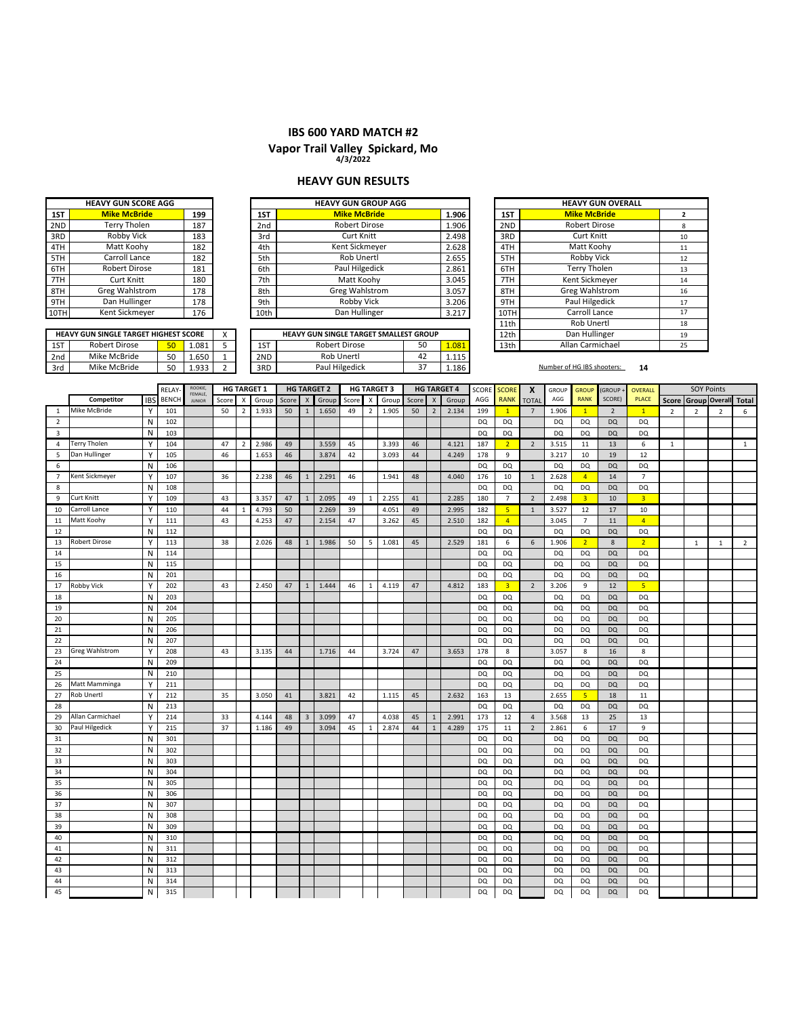# **Vapor Trail Valley Spickard, Mo 4/3/2022**

#### **HEAVY GUN RESULTS**

| <b>HEAVY GUN SCORE AGG</b> |                       |     |  |  |  |  |  |
|----------------------------|-----------------------|-----|--|--|--|--|--|
| 1ST                        | <b>Mike McBride</b>   | 199 |  |  |  |  |  |
| 2ND                        | <b>Terry Tholen</b>   | 187 |  |  |  |  |  |
| 3RD                        | Robby Vick            | 183 |  |  |  |  |  |
| 4TH                        | Matt Koohy            | 182 |  |  |  |  |  |
| 5TH                        | Carroll Lance         | 182 |  |  |  |  |  |
| 6TH                        | <b>Robert Dirose</b>  | 181 |  |  |  |  |  |
| 7TH                        | Curt Knitt            | 180 |  |  |  |  |  |
| 8TH                        | <b>Greg Wahlstrom</b> | 178 |  |  |  |  |  |
| 9TH                        | Dan Hullinger         | 178 |  |  |  |  |  |
|                            | Kent Sickmeyer        | 176 |  |  |  |  |  |

|      |       | <b>HEAVY GUN GROUP AGG</b> |                 |     | <b>HEAVY GUN SCORE AGG</b> |      |  |  |
|------|-------|----------------------------|-----------------|-----|----------------------------|------|--|--|
| 1ST  | 1.906 | <b>Mike McBride</b>        | 1ST             | 199 | <b>Mike McBride</b>        | 1ST  |  |  |
| 2ND  | 1.906 | <b>Robert Dirose</b>       | 2 <sub>nd</sub> | 187 | Terry Tholen               | 2ND  |  |  |
| 3RD  | 2.498 | <b>Curt Knitt</b>          | 3rd             | 183 | Robby Vick                 | 3RD  |  |  |
| 4TH  | 2.628 | Kent Sickmeyer             | 4th             | 182 | Matt Koohy                 | 4TH  |  |  |
| 5TH  | 2.655 | Rob Unertl                 | 5th             | 182 | Carroll Lance              | 5TH  |  |  |
| 6TH  | 2.861 | Paul Hilgedick             | 6th             | 181 | <b>Robert Dirose</b>       | 6TH  |  |  |
| 7TH  | 3.045 | Matt Koohy                 | 7th             | 180 | <b>Curt Knitt</b>          | 7TH  |  |  |
| 8TH  | 3.057 | Greg Wahlstrom             | 8th             | 178 | Greg Wahlstrom             | 8TH  |  |  |
| 9TH  | 3.206 | Robby Vick                 | 9th             | 178 | Dan Hullinger              | 9TH  |  |  |
| 10TH | 3.217 | Dan Hullinger              | 10th            | 176 | Kent Sickmeyer             | 10TH |  |  |
| 11th |       |                            |                 |     |                            |      |  |  |

|   |      | <b>HEAVY GUN GROUP AGG</b>             |        |       |      | <b>HEAVY GUN OVERALL</b> |    |
|---|------|----------------------------------------|--------|-------|------|--------------------------|----|
|   | 1ST  | <b>Mike McBride</b>                    |        | 1.906 | 1ST  | <b>Mike McBride</b>      | 2  |
|   | 2nd  | <b>Robert Dirose</b>                   |        | 1.906 | 2ND  | Robert Dirose            | 8  |
|   | 3rd  | <b>Curt Knitt</b>                      |        | 2.498 | 3RD  | <b>Curt Knitt</b>        | 10 |
|   | 4th  | Kent Sickmeyer                         |        | 2.628 | 4TH  | Matt Koohy               | 11 |
|   | 5th  | Rob Unertl                             |        | 2.655 | 5TH  | Robby Vick               | 12 |
|   | 6th  | Paul Hilgedick                         |        | 2.861 | 6TH  | <b>Terry Tholen</b>      | 13 |
|   | 7th  | Matt Koohy                             |        | 3.045 | 7TH  | Kent Sickmeyer           | 14 |
|   | 8th  | <b>Greg Wahlstrom</b>                  |        | 3.057 | 8TH  | <b>Greg Wahlstrom</b>    | 16 |
|   | 9th  | Robby Vick                             |        | 3.206 | 9TH  | Paul Hilgedick           | 17 |
|   | 10th | Dan Hullinger                          |        | 3.217 | 10TH | Carroll Lance            | 17 |
|   |      |                                        |        |       | 11th | Rob Unertl               | 18 |
| X |      | HEAVY GUN SINGLE TARGET SMALLEST GROUP |        |       | 12th | Dan Hullinger            | 19 |
| 5 | 1ST  | <b>Robert Dirose</b>                   | 50     | 1.081 | 13th | Allan Carmichael         | 25 |
|   |      | $-1$ , $-1$ , $-1$                     | $\sim$ | .     |      |                          |    |

1ST 50 1.081 5 1ST 1.081 13th Robert Dirose 2nd | Mike McBride | 50 | 1.650 | 1 | 2ND | Rob Unertl | 42 | 1.115 3rd | Mike McBride | 50 | 1.933 | 2 | 3RD | Paul Hilgedick | 37 | 1.186 | **Number of HG IBS shooters:** 14 **HEAVY GUN SINGLE TARGET HIGHEST SCORE**<br>1ST Robert Dirose **50** 1.081 Mike McBride Rob Unertl Paul Hilgedick Robert Dirose 50 1.081<br>Rob Unertl 42 1.115 37 42 50

|                         |                       |            | <b>RELAY</b> | ROOKIE,                        |       |                | HG TARGET 1 |       |                | <b>HG TARGET 2</b> |       |                | <b>HG TARGET 3</b> |       |                | <b>HG TARGET 4</b> | SCORE     | <b>SCORE</b>   | $\boldsymbol{x}$ | GROUP     | <b>GROUP</b>   | (GROUP         | <b>OVERALL</b> |                |                | <b>SOY Points</b>   |              |
|-------------------------|-----------------------|------------|--------------|--------------------------------|-------|----------------|-------------|-------|----------------|--------------------|-------|----------------|--------------------|-------|----------------|--------------------|-----------|----------------|------------------|-----------|----------------|----------------|----------------|----------------|----------------|---------------------|--------------|
|                         | Competitor            | <b>IBS</b> | <b>BENCH</b> | <b>FEMALE</b><br><b>JUNIOR</b> | Score | X              | Group       | Score | X              | Group              | Score | X              | Group              | Score | $\times$       | Group              | AGG       | <b>RANK</b>    | TOTAL            | AGG       | <b>RANK</b>    | SCORE)         | <b>PLACE</b>   | <b>Score</b>   |                | Group Overall Total |              |
| 1                       | Mike McBride          | Υ          | 101          |                                | 50    | $\overline{2}$ | 1.933       | 50    | $\mathbf{1}$   | 1.650              | 49    | $\overline{2}$ | 1.905              | 50    | $\overline{2}$ | 2.134              | 199       | $\mathbf{1}$   | 7                | 1.906     | $\mathbf{1}$   | $\overline{2}$ | $\mathbf{1}$   | $\overline{2}$ | $\overline{2}$ | 2                   | 6            |
| $\overline{2}$          |                       | N          | 102          |                                |       |                |             |       |                |                    |       |                |                    |       |                |                    | DQ        | DQ             |                  | DQ        | <b>DQ</b>      | <b>DQ</b>      | <b>DQ</b>      |                |                |                     |              |
| $\overline{\mathbf{3}}$ |                       | N          | 103          |                                |       |                |             |       |                |                    |       |                |                    |       |                |                    | <b>DQ</b> | DQ             |                  | <b>DQ</b> | <b>DQ</b>      | <b>DQ</b>      | <b>DQ</b>      |                |                |                     |              |
| $\overline{4}$          | <b>Terry Tholen</b>   | Y          | 104          |                                | 47    | 2              | 2.986       | 49    |                | 3.559              | 45    |                | 3.393              | 46    |                | 4.121              | 187       | $\overline{2}$ | $\overline{2}$   | 3.515     | 11             | 13             | 6              | $\mathbf{1}$   |                |                     | $\mathbf{1}$ |
| 5                       | Dan Hullinger         | Υ          | 105          |                                | 46    |                | 1.653       | 46    |                | 3.874              | 42    |                | 3.093              | 44    |                | 4.249              | 178       | 9              |                  | 3.217     | 10             | 19             | 12             |                |                |                     |              |
| 6                       |                       | N          | 106          |                                |       |                |             |       |                |                    |       |                |                    |       |                |                    | <b>DQ</b> | <b>DQ</b>      |                  | <b>DQ</b> | <b>DQ</b>      | <b>DQ</b>      | <b>DQ</b>      |                |                |                     |              |
| $\overline{7}$          | Kent Sickmeyer        | Υ          | 107          |                                | 36    |                | 2.238       | 46    | $\mathbf{1}$   | 2.291              | 46    |                | 1.941              | 48    |                | 4.040              | 176       | 10             | $\mathbf{1}$     | 2.628     | $\overline{4}$ | 14             | $\overline{7}$ |                |                |                     |              |
| 8                       |                       | N          | 108          |                                |       |                |             |       |                |                    |       |                |                    |       |                |                    | DQ        | <b>DQ</b>      |                  | DQ        | <b>DQ</b>      | <b>DQ</b>      | DQ             |                |                |                     |              |
| 9                       | Curt Knitt            | Y          | 109          |                                | 43    |                | 3.357       | 47    | $\overline{1}$ | 2.095              | 49    | $\mathbf{1}$   | 2.255              | 41    |                | 2.285              | 180       | $\overline{7}$ | $\overline{2}$   | 2.498     | $\overline{3}$ | 10             | $\overline{3}$ |                |                |                     |              |
| 10                      | Carroll Lance         | Y          | 110          |                                | 44    | 1              | 4.793       | 50    |                | 2.269              | 39    |                | 4.051              | 49    |                | 2.995              | 182       | 5 <sub>o</sub> | $\mathbf{1}$     | 3.527     | 12             | 17             | 10             |                |                |                     |              |
| 11                      | Matt Koohy            | Υ          | 111          |                                | 43    |                | 4.253       | 47    |                | 2.154              | 47    |                | 3.262              | 45    |                | 2.510              | 182       | $\overline{4}$ |                  | 3.045     | $\overline{7}$ | 11             | $\overline{4}$ |                |                |                     |              |
| 12                      |                       | N          | 112          |                                |       |                |             |       |                |                    |       |                |                    |       |                |                    | <b>DQ</b> | <b>DQ</b>      |                  | <b>DQ</b> | <b>DQ</b>      | <b>DQ</b>      | <b>DQ</b>      |                |                |                     |              |
| 13                      | <b>Robert Dirose</b>  | Υ          | 113          |                                | 38    |                | 2.026       | 48    | $\mathbf{1}$   | 1.986              | 50    | 5              | 1.081              | 45    |                | 2.529              | 181       | 6              | 6                | 1.906     | $\overline{2}$ | 8              | 2 <sup>1</sup> |                | $\mathbf{1}$   | $\mathbf{1}$        | $2^{\circ}$  |
| 14                      |                       | N          | 114          |                                |       |                |             |       |                |                    |       |                |                    |       |                |                    | <b>DQ</b> | <b>DQ</b>      |                  | <b>DQ</b> | <b>DQ</b>      | <b>DQ</b>      | <b>DQ</b>      |                |                |                     |              |
| 15                      |                       | N          | 115          |                                |       |                |             |       |                |                    |       |                |                    |       |                |                    | <b>DQ</b> | <b>DQ</b>      |                  | <b>DQ</b> | <b>DQ</b>      | <b>DQ</b>      | <b>DQ</b>      |                |                |                     |              |
| 16                      |                       | Ν          | 201          |                                |       |                |             |       |                |                    |       |                |                    |       |                |                    | DQ        | DQ             |                  | DQ        | DQ             | <b>DQ</b>      | DQ             |                |                |                     |              |
| 17                      | <b>Robby Vick</b>     | Y          | 202          |                                | 43    |                | 2.450       | 47    | $\mathbf{1}$   | 1.444              | 46    | $\mathbf{1}$   | 4.119              | 47    |                | 4.812              | 183       | $\overline{3}$ | $\overline{2}$   | 3.206     | 9              | 12             | 5 <sup>1</sup> |                |                |                     |              |
| 18                      |                       | N          | 203          |                                |       |                |             |       |                |                    |       |                |                    |       |                |                    | <b>DQ</b> | <b>DQ</b>      |                  | <b>DQ</b> | <b>DQ</b>      | <b>DQ</b>      | <b>DQ</b>      |                |                |                     |              |
| 19                      |                       | N          | 204          |                                |       |                |             |       |                |                    |       |                |                    |       |                |                    | DQ        | DQ             |                  | DQ        | DQ             | <b>DQ</b>      | <b>DQ</b>      |                |                |                     |              |
| 20                      |                       | N          | 205          |                                |       |                |             |       |                |                    |       |                |                    |       |                |                    | <b>DQ</b> | DQ             |                  | <b>DQ</b> | <b>DQ</b>      | <b>DQ</b>      | <b>DQ</b>      |                |                |                     |              |
| 21                      |                       | N          | 206          |                                |       |                |             |       |                |                    |       |                |                    |       |                |                    | <b>DQ</b> | <b>DQ</b>      |                  | <b>DQ</b> | <b>DQ</b>      | <b>DQ</b>      | <b>DQ</b>      |                |                |                     |              |
| 22                      |                       | N          | 207          |                                |       |                |             |       |                |                    |       |                |                    |       |                |                    | <b>DQ</b> | DQ             |                  | <b>DQ</b> | <b>DQ</b>      | <b>DQ</b>      | <b>DQ</b>      |                |                |                     |              |
| 23                      | <b>Greg Wahlstrom</b> | Υ          | 208          |                                | 43    |                | 3.135       | 44    |                | 1.716              | 44    |                | 3.724              | 47    |                | 3.653              | 178       | 8              |                  | 3.057     | 8              | 16             | 8              |                |                |                     |              |
| 24                      |                       | N          | 209          |                                |       |                |             |       |                |                    |       |                |                    |       |                |                    | <b>DQ</b> | <b>DQ</b>      |                  | <b>DQ</b> | <b>DQ</b>      | <b>DQ</b>      | <b>DQ</b>      |                |                |                     |              |
| 25                      |                       | N          | 210          |                                |       |                |             |       |                |                    |       |                |                    |       |                |                    | <b>DQ</b> | <b>DQ</b>      |                  | <b>DQ</b> | <b>DQ</b>      | <b>DQ</b>      | <b>DQ</b>      |                |                |                     |              |
| 26                      | Matt Mamminga         | Y          | 211          |                                |       |                |             |       |                |                    |       |                |                    |       |                |                    | <b>DQ</b> | DQ             |                  | <b>DQ</b> | <b>DQ</b>      | <b>DQ</b>      | <b>DQ</b>      |                |                |                     |              |
| 27                      | Rob Unertl            | Y          | 212          |                                | 35    |                | 3.050       | 41    |                | 3.821              | 42    |                | 1.115              | 45    |                | 2.632              | 163       | 13             |                  | 2.655     | 5 <sub>5</sub> | 18             | 11             |                |                |                     |              |
| 28                      |                       | N          | 213          |                                |       |                |             |       |                |                    |       |                |                    |       |                |                    | <b>DQ</b> | <b>DQ</b>      |                  | <b>DQ</b> | DQ             | <b>DQ</b>      | <b>DQ</b>      |                |                |                     |              |
| 29                      | Allan Carmichael      | Y          | 214          |                                | 33    |                | 4.144       | 48    | 3              | 3.099              | 47    |                | 4.038              | 45    |                | 2.991              | 173       | 12             | $\overline{4}$   | 3.568     | 13             | 25             | 13             |                |                |                     |              |
| 30                      | Paul Hilgedick        | Y          | 215          |                                | 37    |                | 1.186       | 49    |                | 3.094              | 45    | $\mathbf{1}$   | 2.874              | 44    |                | 4.289              | 175       | 11             | $\overline{2}$   | 2.861     | 6              | 17             | $\mathsf 9$    |                |                |                     |              |
| 31                      |                       | N          | 301          |                                |       |                |             |       |                |                    |       |                |                    |       |                |                    | DQ        | <b>DQ</b>      |                  | <b>DQ</b> | <b>DQ</b>      | <b>DQ</b>      | <b>DQ</b>      |                |                |                     |              |
| 32                      |                       | N          | 302          |                                |       |                |             |       |                |                    |       |                |                    |       |                |                    | <b>DQ</b> | <b>DQ</b>      |                  | <b>DQ</b> | <b>DQ</b>      | <b>DQ</b>      | <b>DQ</b>      |                |                |                     |              |
| 33                      |                       | N          | 303          |                                |       |                |             |       |                |                    |       |                |                    |       |                |                    | DQ        | DQ             |                  | <b>DQ</b> | <b>DQ</b>      | <b>DQ</b>      | <b>DQ</b>      |                |                |                     |              |
| 34                      |                       | Ν          | 304          |                                |       |                |             |       |                |                    |       |                |                    |       |                |                    | DQ        | DQ             |                  | DQ        | <b>DQ</b>      | <b>DQ</b>      | DQ             |                |                |                     |              |
| 35                      |                       | N          | 305          |                                |       |                |             |       |                |                    |       |                |                    |       |                |                    | <b>DQ</b> | DQ             |                  | <b>DQ</b> | DQ             | <b>DQ</b>      | <b>DQ</b>      |                |                |                     |              |
| 36                      |                       | N          | 306          |                                |       |                |             |       |                |                    |       |                |                    |       |                |                    | <b>DQ</b> | <b>DQ</b>      |                  | <b>DQ</b> | <b>DQ</b>      | <b>DQ</b>      | <b>DQ</b>      |                |                |                     |              |
| 37                      |                       | Ν          | 307          |                                |       |                |             |       |                |                    |       |                |                    |       |                |                    | DQ        | DQ             |                  | DQ        | <b>DQ</b>      | <b>DQ</b>      | DQ             |                |                |                     |              |
| 38                      |                       | N          | 308          |                                |       |                |             |       |                |                    |       |                |                    |       |                |                    | <b>DQ</b> | <b>DQ</b>      |                  | <b>DQ</b> | <b>DQ</b>      | <b>DQ</b>      | <b>DQ</b>      |                |                |                     |              |
| 39                      |                       | N          | 309          |                                |       |                |             |       |                |                    |       |                |                    |       |                |                    | <b>DQ</b> | <b>DQ</b>      |                  | <b>DQ</b> | <b>DQ</b>      | <b>DQ</b>      | <b>DQ</b>      |                |                |                     |              |
| 40                      |                       | N          | 310          |                                |       |                |             |       |                |                    |       |                |                    |       |                |                    | <b>DQ</b> | DQ             |                  | DQ        | <b>DQ</b>      | <b>DQ</b>      | <b>DQ</b>      |                |                |                     |              |
| 41                      |                       | N          | 311          |                                |       |                |             |       |                |                    |       |                |                    |       |                |                    | DQ        | <b>DQ</b>      |                  | <b>DQ</b> | <b>DQ</b>      | <b>DQ</b>      | <b>DQ</b>      |                |                |                     |              |
| 42                      |                       | N          | 312          |                                |       |                |             |       |                |                    |       |                |                    |       |                |                    | <b>DQ</b> | <b>DQ</b>      |                  | <b>DQ</b> | <b>DQ</b>      | <b>DQ</b>      | <b>DQ</b>      |                |                |                     |              |
| 43                      |                       | N          | 313          |                                |       |                |             |       |                |                    |       |                |                    |       |                |                    | <b>DQ</b> | <b>DQ</b>      |                  | DQ        | <b>DQ</b>      | <b>DQ</b>      | <b>DQ</b>      |                |                |                     |              |
| 44                      |                       | N          | 314          |                                |       |                |             |       |                |                    |       |                |                    |       |                |                    | DQ        | <b>DQ</b>      |                  | DQ        | DQ             | <b>DQ</b>      | <b>DQ</b>      |                |                |                     |              |
| 45                      |                       | N          | 315          |                                |       |                |             |       |                |                    |       |                |                    |       |                |                    | DQ        | <b>DQ</b>      |                  | DQ        | <b>DQ</b>      | <b>DQ</b>      | <b>DQ</b>      |                |                |                     |              |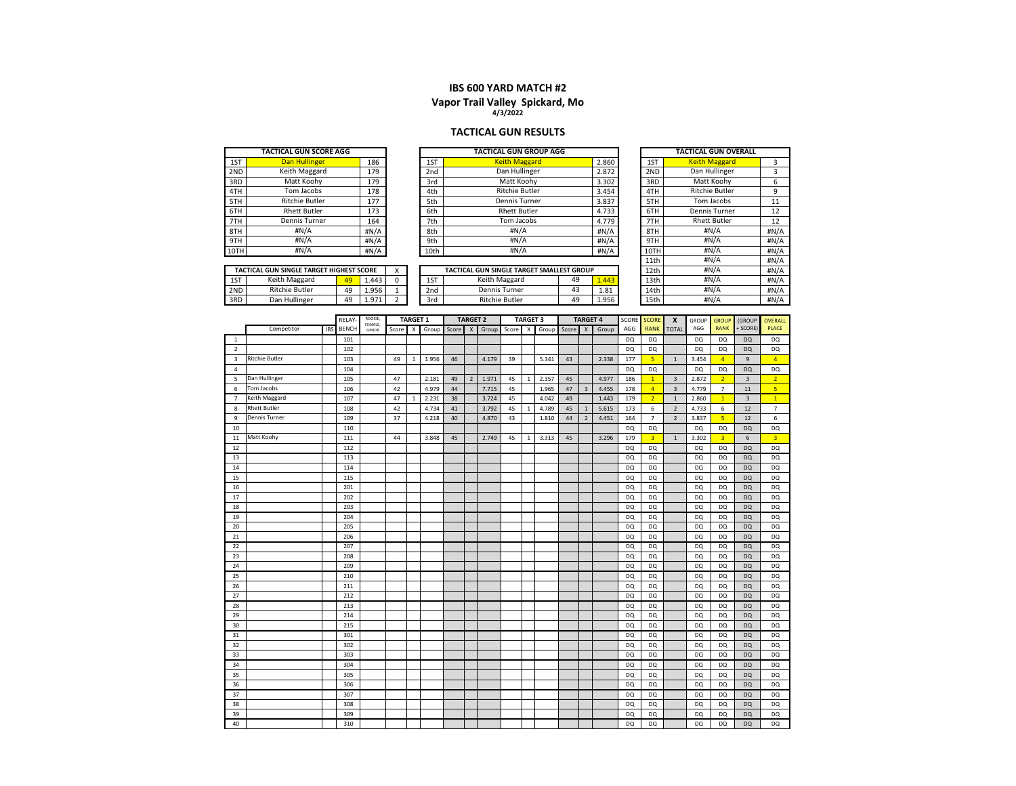# **Vapor Trail Valley Spickard, Mo 4/3/2022**

#### **TACTICAL GUN RESULTS**

|      | TACTICAL GUN SCORE AGG                   |    |       |                 | TACTICAL GUN GROUP AGG                    |  |       |            | <b>TACTICAL GUN OVERALL</b> |                       |      |  |  |
|------|------------------------------------------|----|-------|-----------------|-------------------------------------------|--|-------|------------|-----------------------------|-----------------------|------|--|--|
| 1ST  | Dan Hullinger                            |    | 186   | 1ST             | <b>Keith Maggard</b>                      |  | 2.860 |            | 1ST                         | <b>Keith Maggard</b>  | 3    |  |  |
| 2ND  | Keith Maggard                            |    | 179   | 2nd             | Dan Hullinger                             |  | 2.872 |            | 2ND                         | Dan Hullinger         | 3    |  |  |
| 3RD  | Matt Koohv                               |    | 179   | 3rd             | Matt Koohv                                |  | 3.302 |            | 3RD                         | Matt Koohv            | 6    |  |  |
| 4TH  | Tom Jacobs                               |    | 178   | 4th             | <b>Ritchie Butler</b><br>3.454            |  |       |            |                             | <b>Ritchie Butler</b> | 9    |  |  |
| 5TH  | <b>Ritchie Butler</b>                    |    | 177   | 5th             | Dennis Turner                             |  | 5TH   | Tom Jacobs | 11                          |                       |      |  |  |
| 6TH  | <b>Rhett Butler</b>                      |    | 173   | 6th             | 3.837<br><b>Rhett Butler</b><br>4.733     |  |       |            |                             | <b>Dennis Turner</b>  | 12   |  |  |
| 7TH  | Dennis Turner                            |    | 164   | 7th             | Tom Jacobs<br>4.779                       |  |       |            |                             | <b>Rhett Butler</b>   | 12   |  |  |
| 8TH  | H N/A                                    |    | #N/A  | 8th             | #N/A                                      |  | H N/A |            | 8TH                         | #N/A                  | #N/A |  |  |
| 9TH  | H N/A                                    |    | H N/A | 9 <sub>th</sub> | #N/A                                      |  | H N/A |            | 9TH                         | #N/A                  | #N/A |  |  |
| 10TH | H N/A                                    |    | #N/A  | 10th            | #N/A                                      |  | #N/A  |            | 10TH                        | #N/A                  | #N/A |  |  |
|      |                                          |    |       |                 |                                           |  |       |            | 11th                        | #N/A                  | #N/A |  |  |
|      | TACTICAL GUN SINGLE TARGET HIGHEST SCORE |    |       |                 | TACTICAL GUN SINGLE TARGET SMALLEST GROUP |  |       |            | 12th                        | #N/A                  | #N/A |  |  |
| 1ST  | Keith Maggard                            | 49 | 1.443 | 1ST             | 49<br>Keith Maggard<br>1.443              |  |       |            | 13th                        | #N/A                  | #N/A |  |  |
| 2ND  | <b>Ritchie Butler</b>                    | 49 | 1.956 | 2nd             | 43<br>Dennis Turner<br>1.81               |  |       |            | 14th                        | #N/A                  | #N/A |  |  |
| 3RD  | Dan Hullinger                            | 49 | 1.971 | 3rd             | <b>Ritchie Butler</b><br>49<br>1.956      |  |       |            | 15th                        | #N/A                  | #N/A |  |  |

|                         |                       |            |              |                    |       |                 |       | <b>TARGET 2</b> |                |       |       |                 |       |       |                 |       |           |                |                         |           |                |                |                |
|-------------------------|-----------------------|------------|--------------|--------------------|-------|-----------------|-------|-----------------|----------------|-------|-------|-----------------|-------|-------|-----------------|-------|-----------|----------------|-------------------------|-----------|----------------|----------------|----------------|
|                         |                       |            | <b>RELAY</b> | ROOKIE,<br>FEMALE. |       | <b>TARGET 1</b> |       |                 |                |       |       | <b>TARGET 3</b> |       |       | <b>TARGET 4</b> |       | SCORE     | <b>SCORE</b>   | $\boldsymbol{x}$        | GROUP     | <b>GROUP</b>   | (GROUP         | <b>OVERALL</b> |
|                         | Competitor            | <b>IBS</b> | <b>BENCH</b> | <b>JUNIOR</b>      | Score | X               | Group | Score           | $\times$       | Group | Score | X               | Group | Score | X               | Group | AGG       | <b>RANK</b>    | <b>TOTAL</b>            | AGG       | <b>RANK</b>    | + SCORE)       | <b>PLACE</b>   |
| 1                       |                       |            | 101          |                    |       |                 |       |                 |                |       |       |                 |       |       |                 |       | DQ        | <b>DQ</b>      |                         | DO        | <b>DQ</b>      | <b>DO</b>      | <b>DQ</b>      |
| $\overline{2}$          |                       |            | 102          |                    |       |                 |       |                 |                |       |       |                 |       |       |                 |       | DQ        | <b>DQ</b>      |                         | DQ        | DQ             | <b>DQ</b>      | <b>DQ</b>      |
| $\overline{\mathbf{3}}$ | <b>Ritchie Butler</b> |            | 103          |                    | 49    | 1               | 1.956 | 46              |                | 4.179 | 39    |                 | 5.341 | 43    |                 | 2.338 | 177       | 5 <sup>1</sup> | $\mathbf{1}$            | 3.454     | $\overline{4}$ | $\overline{9}$ | $\overline{4}$ |
| $\overline{4}$          |                       |            | 104          |                    |       |                 |       |                 |                |       |       |                 |       |       |                 |       | DQ        | <b>DQ</b>      |                         | DQ        | DQ             | DQ             | <b>DQ</b>      |
| 5                       | Dan Hullinger         |            | 105          |                    | 47    |                 | 2.181 | 49              | $\overline{2}$ | 1.971 | 45    | $\mathbf{1}$    | 2.357 | 45    |                 | 4.977 | 186       | $\overline{1}$ | $\overline{3}$          | 2.872     | $\overline{2}$ | $\overline{3}$ | 2 <sup>1</sup> |
| 6                       | Tom Jacobs            |            | 106          |                    | 42    |                 | 4.979 | 44              |                | 7.715 | 45    |                 | 1.965 | 47    | $\overline{3}$  | 4.455 | 178       | $\overline{4}$ | $\overline{\mathbf{3}}$ | 4.779     | $\overline{7}$ | 11             | 5 <sup>1</sup> |
| $7^{\circ}$             | Keith Maggard         |            | 107          |                    | 47    | $\mathbf{1}$    | 2.231 | 38              |                | 3.724 | 45    |                 | 4.042 | 49    |                 | 1.443 | 179       | $\overline{2}$ | $\overline{1}$          | 2.860     | 1              | $\overline{3}$ | $\overline{1}$ |
| 8                       | <b>Rhett Butler</b>   |            | 108          |                    | 42    |                 | 4.734 | 41              |                | 3.792 | 45    | $\mathbf{1}$    | 4.789 | 45    | $\mathbf{1}$    | 5.615 | 173       | 6              | $\overline{2}$          | 4.733     | 6              | 12             | $\overline{7}$ |
| 9                       | <b>Dennis Turner</b>  |            | 109          |                    | 37    |                 | 4.218 | 40              |                | 4.870 | 43    |                 | 1.810 | 44    | $\overline{2}$  | 4.451 | 164       | $\overline{7}$ | $\overline{2}$          | 3.837     | 5 <sup>1</sup> | 12             | $\,6\,$        |
| 10                      |                       |            | 110          |                    |       |                 |       |                 |                |       |       |                 |       |       |                 |       | DQ.       | DQ             |                         | DQ.       | DQ             | <b>DQ</b>      | <b>DQ</b>      |
| 11                      | Matt Koohy            |            | 111          |                    | 44    |                 | 3.848 | 45              |                | 2.749 | 45    | $\mathbf{1}$    | 3.313 | 45    |                 | 3.296 | 179       | $\overline{3}$ | $\mathbf{1}$            | 3.302     | $\overline{3}$ | 6              | $\overline{3}$ |
| 12                      |                       |            | 112          |                    |       |                 |       |                 |                |       |       |                 |       |       |                 |       | DQ        | <b>DQ</b>      |                         | <b>DQ</b> | DQ             | <b>DQ</b>      | <b>DQ</b>      |
| 13                      |                       |            | 113          |                    |       |                 |       |                 |                |       |       |                 |       |       |                 |       | DQ        | DQ             |                         | DQ        | <b>DQ</b>      | <b>DQ</b>      | DQ             |
| 14                      |                       |            | 114          |                    |       |                 |       |                 |                |       |       |                 |       |       |                 |       | <b>DQ</b> | DQ             |                         | <b>DQ</b> | DQ             | <b>DQ</b>      | <b>DQ</b>      |
| 15                      |                       |            | 115          |                    |       |                 |       |                 |                |       |       |                 |       |       |                 |       | DQ        | DQ             |                         | DQ        | DQ             | <b>DO</b>      | DQ             |
| 16                      |                       |            | 201          |                    |       |                 |       |                 |                |       |       |                 |       |       |                 |       | DQ        | DQ             |                         | DQ        | <b>DQ</b>      | <b>DQ</b>      | DQ             |
| 17                      |                       |            | 202          |                    |       |                 |       |                 |                |       |       |                 |       |       |                 |       | DQ        | <b>DQ</b>      |                         | DQ        | DQ             | <b>DQ</b>      | DQ             |
| 18                      |                       |            | 203          |                    |       |                 |       |                 |                |       |       |                 |       |       |                 |       | DQ        | <b>DQ</b>      |                         | <b>DQ</b> | DQ             | <b>DQ</b>      | <b>DQ</b>      |
| 19                      |                       |            | 204          |                    |       |                 |       |                 |                |       |       |                 |       |       |                 |       | DQ        | <b>DQ</b>      |                         | <b>DQ</b> | DQ             | <b>DQ</b>      | <b>DQ</b>      |
| 20                      |                       |            | 205          |                    |       |                 |       |                 |                |       |       |                 |       |       |                 |       | DQ        | <b>DQ</b>      |                         | <b>DQ</b> | DQ             | <b>DQ</b>      | <b>DQ</b>      |
| 21                      |                       |            | 206          |                    |       |                 |       |                 |                |       |       |                 |       |       |                 |       | DQ        | DQ             |                         | DQ        | DQ             | <b>DQ</b>      | <b>DQ</b>      |
| 22                      |                       |            | 207          |                    |       |                 |       |                 |                |       |       |                 |       |       |                 |       | DQ        | <b>DQ</b>      |                         | <b>DQ</b> | DQ             | <b>DQ</b>      | <b>DQ</b>      |
| 23                      |                       |            | 208          |                    |       |                 |       |                 |                |       |       |                 |       |       |                 |       | DQ        | <b>DQ</b>      |                         | DQ        | DQ             | <b>DQ</b>      | <b>DQ</b>      |
| 24                      |                       |            | 209          |                    |       |                 |       |                 |                |       |       |                 |       |       |                 |       | DQ        | <b>DQ</b>      |                         | <b>DQ</b> | DQ             | <b>DQ</b>      | <b>DQ</b>      |
| 25                      |                       |            | 210          |                    |       |                 |       |                 |                |       |       |                 |       |       |                 |       | DQ        | <b>DQ</b>      |                         | DQ        | DQ             | <b>DQ</b>      | <b>DQ</b>      |
| 26                      |                       |            | 211          |                    |       |                 |       |                 |                |       |       |                 |       |       |                 |       | DQ        | DQ             |                         | DQ        | DQ             | <b>DQ</b>      | DQ             |
| 27                      |                       |            | 212          |                    |       |                 |       |                 |                |       |       |                 |       |       |                 |       | DQ        | <b>DQ</b>      |                         | DQ        | DQ             | <b>DQ</b>      | <b>DQ</b>      |
| 28                      |                       |            | 213          |                    |       |                 |       |                 |                |       |       |                 |       |       |                 |       | DQ        | DQ             |                         | DQ        | DQ             | <b>DQ</b>      | DQ             |
| 29                      |                       |            | 214          |                    |       |                 |       |                 |                |       |       |                 |       |       |                 |       | DQ        | DQ             |                         | DQ        | DQ             | <b>DQ</b>      | <b>DQ</b>      |
| 30                      |                       |            | 215          |                    |       |                 |       |                 |                |       |       |                 |       |       |                 |       | DQ        | DQ             |                         | DQ        | DQ             | <b>DQ</b>      | DQ             |
| 31                      |                       |            | 301          |                    |       |                 |       |                 |                |       |       |                 |       |       |                 |       | DQ        | DQ             |                         | DO        | DQ             | <b>DO</b>      | DQ             |
| 32                      |                       |            | 302          |                    |       |                 |       |                 |                |       |       |                 |       |       |                 |       | DQ        | DQ             |                         | DQ        | DQ             | <b>DQ</b>      | DQ             |
| 33                      |                       |            | 303          |                    |       |                 |       |                 |                |       |       |                 |       |       |                 |       | DQ        | DQ             |                         | DQ        | DQ             | <b>DQ</b>      | <b>DQ</b>      |
| 34                      |                       |            | 304          |                    |       |                 |       |                 |                |       |       |                 |       |       |                 |       | DQ        | DQ             |                         | DQ        | DQ             | <b>DQ</b>      | <b>DQ</b>      |
| 35                      |                       |            | 305          |                    |       |                 |       |                 |                |       |       |                 |       |       |                 |       | DQ        | DQ             |                         | DQ        | DQ             | <b>DO</b>      | <b>DQ</b>      |
| 36                      |                       |            | 306          |                    |       |                 |       |                 |                |       |       |                 |       |       |                 |       | DQ        | DQ             |                         | DQ        | <b>DQ</b>      | <b>DQ</b>      | <b>DQ</b>      |
| 37                      |                       |            | 307          |                    |       |                 |       |                 |                |       |       |                 |       |       |                 |       | <b>DQ</b> | DQ             |                         | DQ        | DQ             | <b>DQ</b>      | <b>DQ</b>      |
| 38                      |                       |            | 308          |                    |       |                 |       |                 |                |       |       |                 |       |       |                 |       | DQ        | DQ             |                         | DQ        | DQ             | <b>DQ</b>      | <b>DQ</b>      |
| 39                      |                       |            | 309          |                    |       |                 |       |                 |                |       |       |                 |       |       |                 |       | DQ        | DQ             |                         | DQ        | DQ             | <b>DQ</b>      | <b>DQ</b>      |
| 40                      |                       |            | 310          |                    |       |                 |       |                 |                |       |       |                 |       |       |                 |       | DQ        | DQ             |                         | DQ        | DQ             | <b>DQ</b>      | DQ             |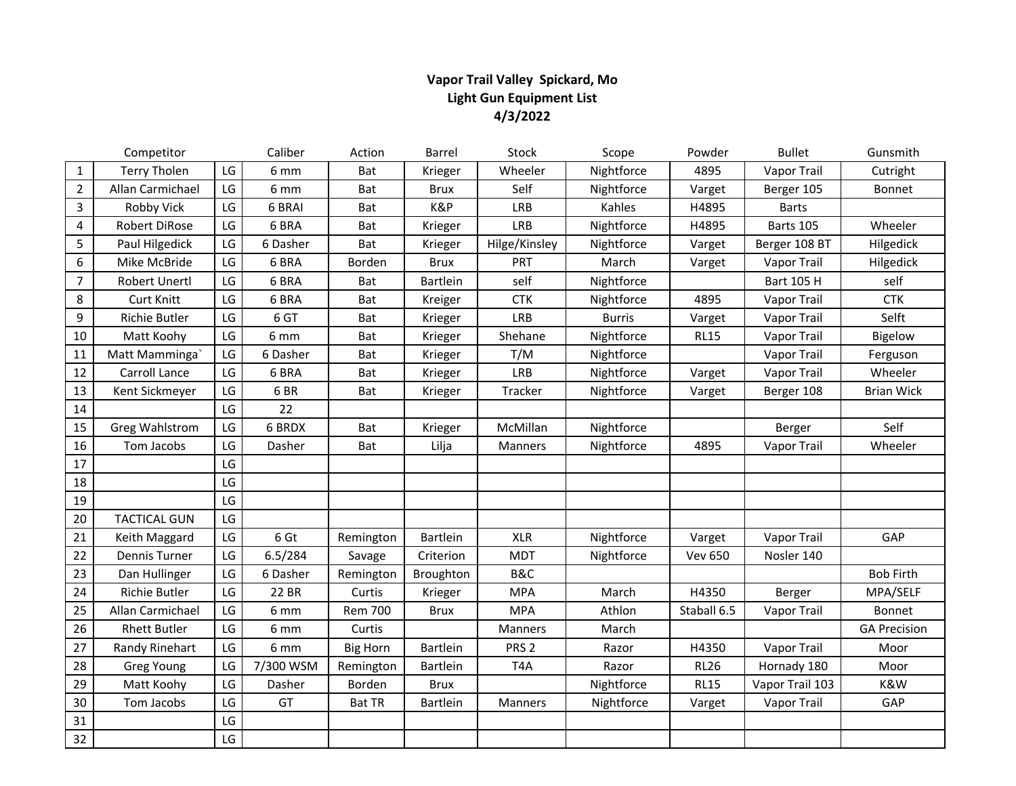# **Vapor Trail Valley Spickard, Mo Light Gun Equipment List 4/3/2022**

|                | Competitor            |                        | Caliber   | Action          | Barrel          | Stock            | Scope         | Powder         | <b>Bullet</b>      | Gunsmith            |
|----------------|-----------------------|------------------------|-----------|-----------------|-----------------|------------------|---------------|----------------|--------------------|---------------------|
| $\mathbf{1}$   | <b>Terry Tholen</b>   | LG                     | 6 mm      | Bat             | Krieger         | Wheeler          | Nightforce    | 4895           | Vapor Trail        | Cutright            |
| $\overline{2}$ | Allan Carmichael      | LG                     | 6 mm      | Bat             | <b>Brux</b>     | Self             | Nightforce    | Varget         | Berger 105         | Bonnet              |
| 3              | Robby Vick            | LG                     | 6 BRAI    | Bat             | K&P             | LRB              | Kahles        | H4895          | <b>Barts</b>       |                     |
| $\overline{4}$ | Robert DiRose         | LG                     | 6 BRA     | Bat             | Krieger         | LRB              | Nightforce    | H4895          | Barts 105          | Wheeler             |
| 5              | Paul Hilgedick        | LG                     | 6 Dasher  | Bat             | Krieger         | Hilge/Kinsley    | Nightforce    | Varget         | Berger 108 BT      | Hilgedick           |
| 6              | Mike McBride          | LG                     | 6 BRA     | Borden          | <b>Brux</b>     | PRT              | March         | Varget         | Vapor Trail        | Hilgedick           |
| $\overline{7}$ | <b>Robert Unertl</b>  | LG                     | 6 BRA     | Bat             | <b>Bartlein</b> | self             | Nightforce    |                | <b>Bart 105 H</b>  | self                |
| 8              | <b>Curt Knitt</b>     | LG                     | 6 BRA     | Bat             | Kreiger         | <b>CTK</b>       | Nightforce    | 4895           | Vapor Trail        | <b>CTK</b>          |
| 9              | Richie Butler         | LG                     | 6 GT      | Bat             | Krieger         | LRB              | <b>Burris</b> | Varget         | Vapor Trail        | Selft               |
| 10             | Matt Koohy            | LG                     | 6 mm      | Bat             | Krieger         | Shehane          | Nightforce    | <b>RL15</b>    | Vapor Trail        | Bigelow             |
| 11             | Matt Mamminga`        | $\mathsf{LG}$          | 6 Dasher  | Bat             | Krieger         | T/M              | Nightforce    |                | Vapor Trail        | Ferguson            |
| 12             | Carroll Lance         | LG                     | 6 BRA     | Bat             | Krieger         | LRB              | Nightforce    | Varget         | Vapor Trail        | Wheeler             |
| 13             | Kent Sickmeyer        | LG                     | 6BR       | Bat             | Krieger         | Tracker          | Nightforce    | Varget         | Berger 108         | <b>Brian Wick</b>   |
| 14             |                       | LG                     | 22        |                 |                 |                  |               |                |                    |                     |
| 15             | <b>Greg Wahlstrom</b> | LG                     | 6 BRDX    | Bat             | Krieger         | McMillan         | Nightforce    |                | Berger             | Self                |
| 16             | Tom Jacobs            | LG                     | Dasher    | Bat             | Lilja           | Manners          | Nightforce    | 4895           | Vapor Trail        | Wheeler             |
| $17\,$         |                       | LG                     |           |                 |                 |                  |               |                |                    |                     |
| 18             |                       | LG                     |           |                 |                 |                  |               |                |                    |                     |
| 19             |                       | LG                     |           |                 |                 |                  |               |                |                    |                     |
| 20             | <b>TACTICAL GUN</b>   | LG                     |           |                 |                 |                  |               |                |                    |                     |
| 21             | Keith Maggard         | LG                     | 6 Gt      | Remington       | Bartlein        | <b>XLR</b>       | Nightforce    | Varget         | Vapor Trail        | GAP                 |
| 22             | <b>Dennis Turner</b>  | LG                     | 6.5/284   | Savage          | Criterion       | <b>MDT</b>       | Nightforce    | <b>Vev 650</b> | Nosler 140         |                     |
| 23             | Dan Hullinger         | LG                     | 6 Dasher  | Remington       | Broughton       | B&C              |               |                |                    | <b>Bob Firth</b>    |
| 24             | Richie Butler         | LG                     | 22 BR     | Curtis          | Krieger         | <b>MPA</b>       | March         | H4350          | Berger             | MPA/SELF            |
| 25             | Allan Carmichael      | LG                     | 6 mm      | <b>Rem 700</b>  | <b>Brux</b>     | <b>MPA</b>       | Athlon        | Staball 6.5    | Vapor Trail        | Bonnet              |
| 26             | <b>Rhett Butler</b>   | $\mathsf{L}\mathsf{G}$ | 6 mm      | Curtis          |                 | Manners          | March         |                |                    | <b>GA Precision</b> |
| 27             | Randy Rinehart        | LG                     | 6 mm      | <b>Big Horn</b> | <b>Bartlein</b> | PRS <sub>2</sub> | Razor         | H4350          | <b>Vapor Trail</b> | Moor                |
| 28             | <b>Greg Young</b>     | LG                     | 7/300 WSM | Remington       | <b>Bartlein</b> | T <sub>4</sub> A | Razor         | <b>RL26</b>    | Hornady 180        | Moor                |
| 29             | Matt Koohy            | LG                     | Dasher    | Borden          | <b>Brux</b>     |                  | Nightforce    | <b>RL15</b>    | Vapor Trail 103    | K&W                 |
| 30             | Tom Jacobs            | LG                     | GT        | <b>Bat TR</b>   | Bartlein        | Manners          | Nightforce    | Varget         | Vapor Trail        | GAP                 |
| 31             |                       | LG                     |           |                 |                 |                  |               |                |                    |                     |
| 32             |                       | LG                     |           |                 |                 |                  |               |                |                    |                     |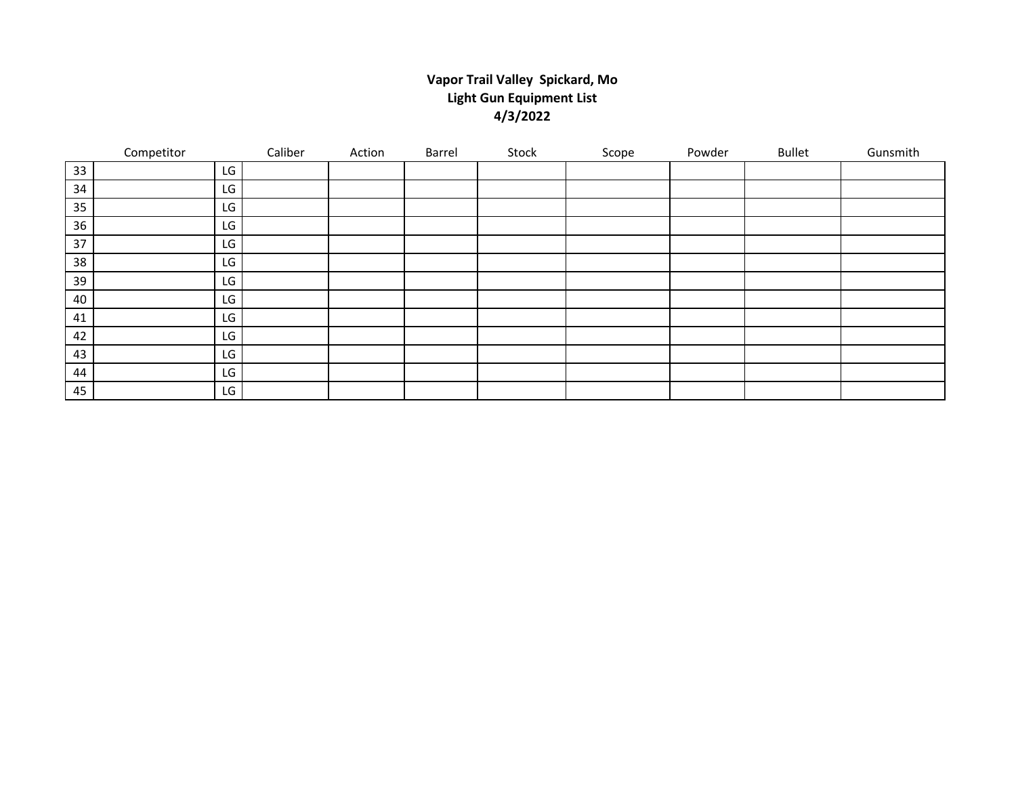# **Vapor Trail Valley Spickard, Mo Light Gun Equipment List 4/3/2022**

|    | Competitor |    | Caliber | Action | Barrel | Stock | Scope | Powder | Bullet | Gunsmith |
|----|------------|----|---------|--------|--------|-------|-------|--------|--------|----------|
| 33 |            | LG |         |        |        |       |       |        |        |          |
| 34 |            | LG |         |        |        |       |       |        |        |          |
| 35 |            | LG |         |        |        |       |       |        |        |          |
| 36 |            | LG |         |        |        |       |       |        |        |          |
| 37 |            | LG |         |        |        |       |       |        |        |          |
| 38 |            | LG |         |        |        |       |       |        |        |          |
| 39 |            | LG |         |        |        |       |       |        |        |          |
| 40 |            | LG |         |        |        |       |       |        |        |          |
| 41 |            | LG |         |        |        |       |       |        |        |          |
| 42 |            | LG |         |        |        |       |       |        |        |          |
| 43 |            | LG |         |        |        |       |       |        |        |          |
| 44 |            | LG |         |        |        |       |       |        |        |          |
| 45 |            | LG |         |        |        |       |       |        |        |          |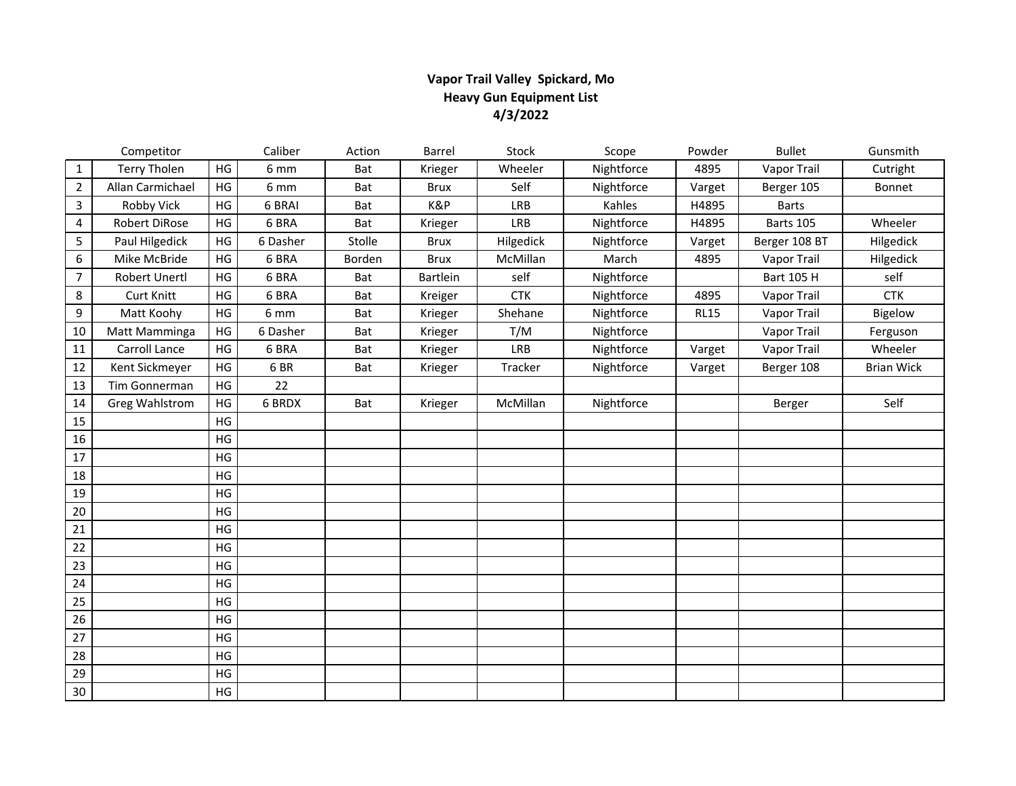# **Vapor Trail Valley Spickard, Mo Heavy Gun Equipment List 4/3/2022**

|                | Competitor            |    | Caliber  | Action | Barrel      | Stock      | Scope      | Powder      | <b>Bullet</b>      | Gunsmith          |
|----------------|-----------------------|----|----------|--------|-------------|------------|------------|-------------|--------------------|-------------------|
| $\mathbf{1}$   | <b>Terry Tholen</b>   | HG | 6 mm     | Bat    | Krieger     | Wheeler    | Nightforce | 4895        | <b>Vapor Trail</b> | Cutright          |
| $\overline{2}$ | Allan Carmichael      | HG | 6 mm     | Bat    | <b>Brux</b> | Self       | Nightforce | Varget      | Berger 105         | Bonnet            |
| 3              | Robby Vick            | HG | 6 BRAI   | Bat    | K&P         | LRB        | Kahles     | H4895       | <b>Barts</b>       |                   |
| 4              | Robert DiRose         | HG | 6 BRA    | Bat    | Krieger     | LRB        | Nightforce | H4895       | Barts 105          | Wheeler           |
| 5              | Paul Hilgedick        | HG | 6 Dasher | Stolle | <b>Brux</b> | Hilgedick  | Nightforce | Varget      | Berger 108 BT      | Hilgedick         |
| 6              | Mike McBride          | HG | 6 BRA    | Borden | <b>Brux</b> | McMillan   | March      | 4895        | Vapor Trail        | Hilgedick         |
| $\overline{7}$ | <b>Robert Unertl</b>  | HG | 6 BRA    | Bat    | Bartlein    | self       | Nightforce |             | <b>Bart 105 H</b>  | self              |
| 8              | <b>Curt Knitt</b>     | HG | 6 BRA    | Bat    | Kreiger     | <b>CTK</b> | Nightforce | 4895        | Vapor Trail        | <b>CTK</b>        |
| 9              | Matt Koohy            | HG | 6 mm     | Bat    | Krieger     | Shehane    | Nightforce | <b>RL15</b> | Vapor Trail        | Bigelow           |
| 10             | Matt Mamminga         | HG | 6 Dasher | Bat    | Krieger     | T/M        | Nightforce |             | Vapor Trail        | Ferguson          |
| 11             | Carroll Lance         | HG | 6 BRA    | Bat    | Krieger     | LRB        | Nightforce | Varget      | Vapor Trail        | Wheeler           |
| 12             | Kent Sickmeyer        | HG | 6BR      | Bat    | Krieger     | Tracker    | Nightforce | Varget      | Berger 108         | <b>Brian Wick</b> |
| 13             | Tim Gonnerman         | HG | 22       |        |             |            |            |             |                    |                   |
| 14             | <b>Greg Wahlstrom</b> | HG | 6 BRDX   | Bat    | Krieger     | McMillan   | Nightforce |             | Berger             | Self              |
| 15             |                       | HG |          |        |             |            |            |             |                    |                   |
| 16             |                       | HG |          |        |             |            |            |             |                    |                   |
| 17             |                       | HG |          |        |             |            |            |             |                    |                   |
| 18             |                       | HG |          |        |             |            |            |             |                    |                   |
| 19             |                       | HG |          |        |             |            |            |             |                    |                   |
| 20             |                       | HG |          |        |             |            |            |             |                    |                   |
| 21             |                       | HG |          |        |             |            |            |             |                    |                   |
| 22             |                       | HG |          |        |             |            |            |             |                    |                   |
| 23             |                       | HG |          |        |             |            |            |             |                    |                   |
| 24             |                       | HG |          |        |             |            |            |             |                    |                   |
| 25             |                       | HG |          |        |             |            |            |             |                    |                   |
| 26             |                       | HG |          |        |             |            |            |             |                    |                   |
| 27             |                       | HG |          |        |             |            |            |             |                    |                   |
| 28             |                       | HG |          |        |             |            |            |             |                    |                   |
| 29             |                       | HG |          |        |             |            |            |             |                    |                   |
| 30             |                       | HG |          |        |             |            |            |             |                    |                   |